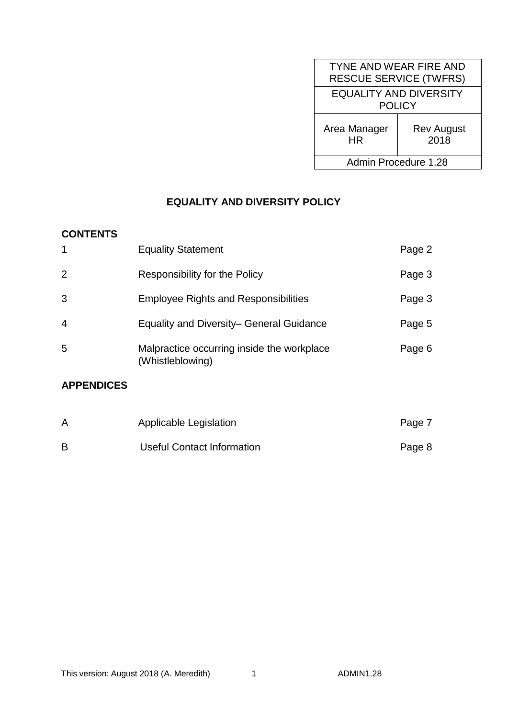| <b>TYNE AND WEAR FIRE AND</b><br><b>RESCUE SERVICE (TWFRS)</b> |                           |  |
|----------------------------------------------------------------|---------------------------|--|
| <b>EQUALITY AND DIVERSITY</b><br><b>POLICY</b>                 |                           |  |
| Area Manager<br>HR                                             | <b>Rev August</b><br>2018 |  |
| Admin Procedure 1.28                                           |                           |  |

# **EQUALITY AND DIVERSITY POLICY**

### **CONTENTS**

| 1                 | <b>Equality Statement</b>                                      | Page 2 |
|-------------------|----------------------------------------------------------------|--------|
| 2                 | Responsibility for the Policy                                  | Page 3 |
| 3                 | <b>Employee Rights and Responsibilities</b>                    | Page 3 |
| $\overline{4}$    | Equality and Diversity– General Guidance                       | Page 5 |
| 5                 | Malpractice occurring inside the workplace<br>(Whistleblowing) | Page 6 |
| <b>APPENDICES</b> |                                                                |        |

| Applicable Legislation     | Page 7 |
|----------------------------|--------|
| Useful Contact Information | Page 8 |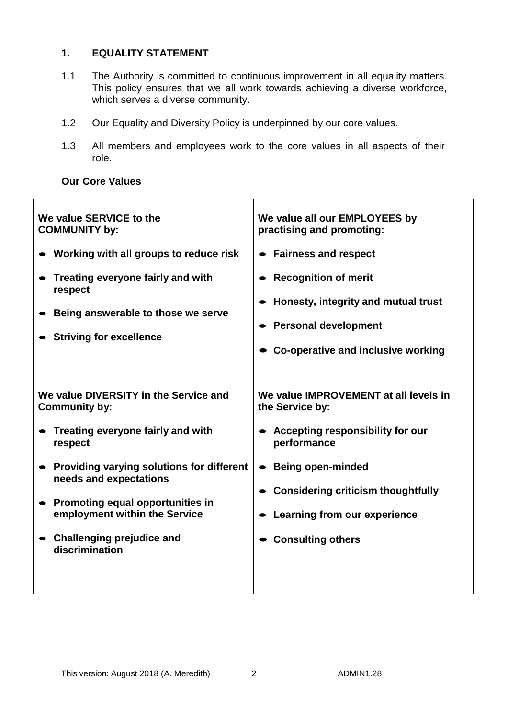## **1. EQUALITY STATEMENT**

- 1.1 The Authority is committed to continuous improvement in all equality matters. This policy ensures that we all work towards achieving a diverse workforce, which serves a diverse community.
- 1.2 Our Equality and Diversity Policy is underpinned by our core values.
- 1.3 All members and employees work to the core values in all aspects of their role.

## **Our Core Values**

| We value SERVICE to the                                                                                                                                                                                                                                                                                                  | We value all our EMPLOYEES by                                                                                                                                                                                                                    |
|--------------------------------------------------------------------------------------------------------------------------------------------------------------------------------------------------------------------------------------------------------------------------------------------------------------------------|--------------------------------------------------------------------------------------------------------------------------------------------------------------------------------------------------------------------------------------------------|
| <b>COMMUNITY by:</b>                                                                                                                                                                                                                                                                                                     | practising and promoting:                                                                                                                                                                                                                        |
| $\bullet$ Working with all groups to reduce risk                                                                                                                                                                                                                                                                         | <b>Fairness and respect</b>                                                                                                                                                                                                                      |
| Treating everyone fairly and with                                                                                                                                                                                                                                                                                        | <b>Recognition of merit</b>                                                                                                                                                                                                                      |
| respect                                                                                                                                                                                                                                                                                                                  | Honesty, integrity and mutual trust                                                                                                                                                                                                              |
| • Being answerable to those we serve                                                                                                                                                                                                                                                                                     | <b>Personal development</b>                                                                                                                                                                                                                      |
| <b>Striving for excellence</b>                                                                                                                                                                                                                                                                                           | Co-operative and inclusive working                                                                                                                                                                                                               |
| We value DIVERSITY in the Service and<br><b>Community by:</b><br>Treating everyone fairly and with<br>respect<br>• Providing varying solutions for different<br>needs and expectations<br><b>Promoting equal opportunities in</b><br>employment within the Service<br><b>Challenging prejudice and</b><br>discrimination | We value IMPROVEMENT at all levels in<br>the Service by:<br>Accepting responsibility for our<br>performance<br><b>Being open-minded</b><br><b>Considering criticism thoughtfully</b><br>Learning from our experience<br><b>Consulting others</b> |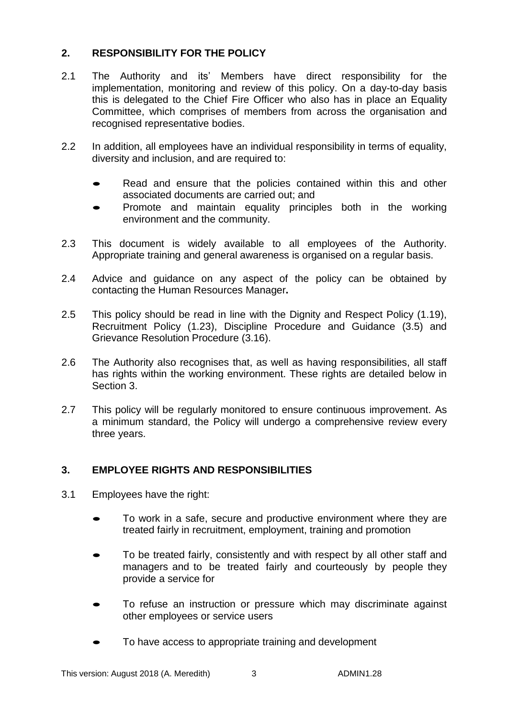## **2. RESPONSIBILITY FOR THE POLICY**

- 2.1 The Authority and its' Members have direct responsibility for the implementation, monitoring and review of this policy. On a day-to-day basis this is delegated to the Chief Fire Officer who also has in place an Equality Committee, which comprises of members from across the organisation and recognised representative bodies.
- 2.2 In addition, all employees have an individual responsibility in terms of equality, diversity and inclusion, and are required to:
	- Read and ensure that the policies contained within this and other associated documents are carried out; and
	- Promote and maintain equality principles both in the working environment and the community.
- 2.3 This document is widely available to all employees of the Authority. Appropriate training and general awareness is organised on a regular basis.
- 2.4 Advice and guidance on any aspect of the policy can be obtained by contacting the Human Resources Manager**.**
- 2.5 This policy should be read in line with the Dignity and Respect Policy (1.19), Recruitment Policy (1.23), Discipline Procedure and Guidance (3.5) and Grievance Resolution Procedure (3.16).
- 2.6 The Authority also recognises that, as well as having responsibilities, all staff has rights within the working environment. These rights are detailed below in Section 3.
- 2.7 This policy will be regularly monitored to ensure continuous improvement. As a minimum standard, the Policy will undergo a comprehensive review every three years.

## **3. EMPLOYEE RIGHTS AND RESPONSIBILITIES**

- 3.1 Employees have the right:
	- To work in <sup>a</sup> safe, secure and productive environment where they are treated fairly in recruitment, employment, training and promotion
	- To be treated fairly, consistently and with respect by all other staff and managers and to be treated fairly and courteously by people they provide a service for
	- To refuse an instruction or pressure which may discriminate against other employees or service users
	- To have access to appropriate training and development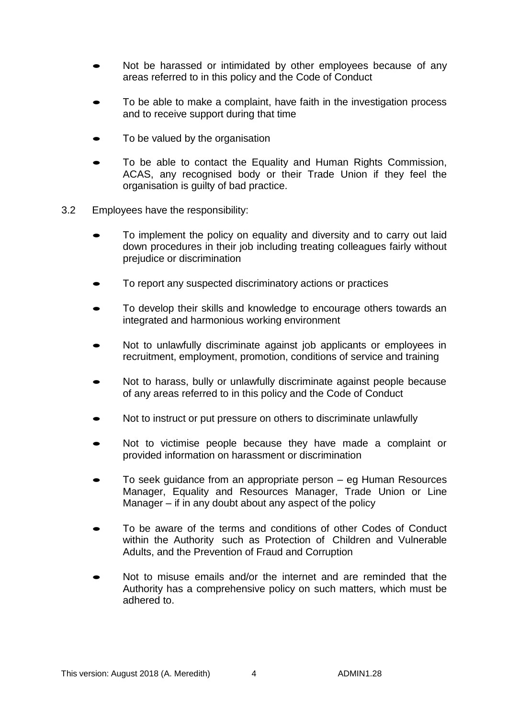- Not be harassed or intimidated by other employees because of any areas referred to in this policy and the Code of Conduct
- To be able to make <sup>a</sup> complaint, have faith in the investigation process and to receive support during that time
- To be valued by the organisation
- To be able to contact the Equality and Human Rights Commission, ACAS, any recognised body or their Trade Union if they feel the organisation is guilty of bad practice.
- 3.2 Employees have the responsibility:
	- To implement the policy on equality and diversity and to carry out laid down procedures in their job including treating colleagues fairly without prejudice or discrimination
	- To report any suspected discriminatory actions or practices
	- To develop their skills and knowledge to encourage others towards an integrated and harmonious working environment
	- Not to unlawfully discriminate against job applicants or employees in recruitment, employment, promotion, conditions of service and training
	- Not to harass, bully or unlawfully discriminate against people because of any areas referred to in this policy and the Code of Conduct
	- Not to instruct or put pressure on others to discriminate unlawfully
	- Not to victimise people because they have made <sup>a</sup> complaint or provided information on harassment or discrimination
	- To seek guidance from an appropriate person eg Human Resources Manager, Equality and Resources Manager, Trade Union or Line Manager – if in any doubt about any aspect of the policy
	- To be aware of the terms and conditions of other Codes of Conduct within the Authority such as Protection of Children and Vulnerable Adults, and the Prevention of Fraud and Corruption
	- Not to misuse emails and/or the internet and are reminded that the Authority has a comprehensive policy on such matters, which must be adhered to.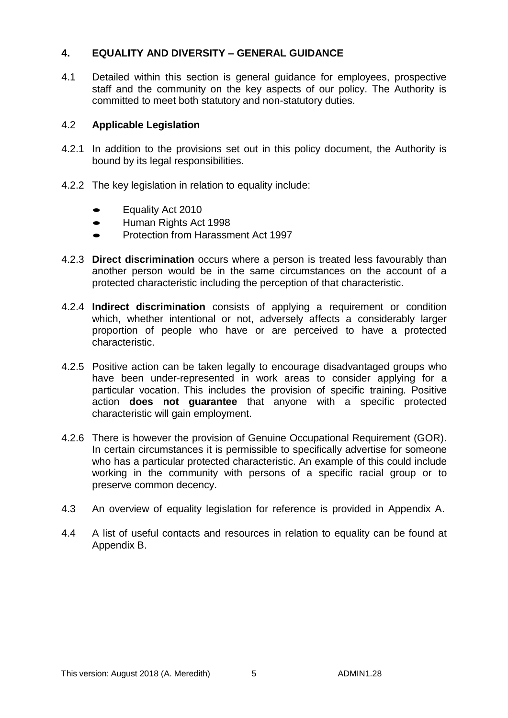## **4. EQUALITY AND DIVERSITY – GENERAL GUIDANCE**

4.1 Detailed within this section is general guidance for employees, prospective staff and the community on the key aspects of our policy. The Authority is committed to meet both statutory and non-statutory duties.

### 4.2 **Applicable Legislation**

- 4.2.1 In addition to the provisions set out in this policy document, the Authority is bound by its legal responsibilities.
- 4.2.2 The key legislation in relation to equality include:
	- Equality Act 2010
	- Human Rights Act 1998
	- Protection from Harassment Act <sup>1997</sup>
- 4.2.3 **Direct discrimination** occurs where a person is treated less favourably than another person would be in the same circumstances on the account of a protected characteristic including the perception of that characteristic.
- 4.2.4 **Indirect discrimination** consists of applying a requirement or condition which, whether intentional or not, adversely affects a considerably larger proportion of people who have or are perceived to have a protected characteristic.
- 4.2.5 Positive action can be taken legally to encourage disadvantaged groups who have been under-represented in work areas to consider applying for a particular vocation. This includes the provision of specific training. Positive action **does not guarantee** that anyone with a specific protected characteristic will gain employment.
- 4.2.6 There is however the provision of Genuine Occupational Requirement (GOR). In certain circumstances it is permissible to specifically advertise for someone who has a particular protected characteristic. An example of this could include working in the community with persons of a specific racial group or to preserve common decency.
- 4.3 An overview of equality legislation for reference is provided in Appendix A.
- 4.4 A list of useful contacts and resources in relation to equality can be found at Appendix B.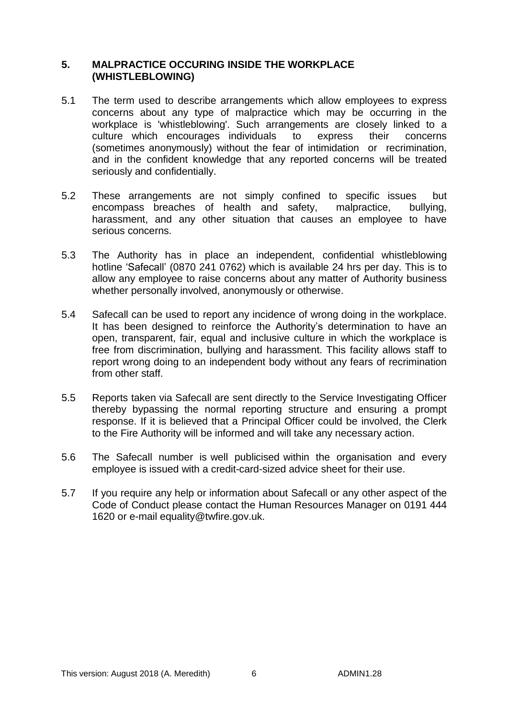### **5. MALPRACTICE OCCURING INSIDE THE WORKPLACE (WHISTLEBLOWING)**

- 5.1 The term used to describe arrangements which allow employees to express concerns about any type of malpractice which may be occurring in the workplace is 'whistleblowing'. Such arrangements are closely linked to a culture which encourages individuals to express their concerns (sometimes anonymously) without the fear of intimidation or recrimination, and in the confident knowledge that any reported concerns will be treated seriously and confidentially.
- 5.2 These arrangements are not simply confined to specific issues but encompass breaches of health and safety, malpractice, bullying, harassment, and any other situation that causes an employee to have serious concerns.
- 5.3 The Authority has in place an independent, confidential whistleblowing hotline 'Safecall' (0870 241 0762) which is available 24 hrs per day. This is to allow any employee to raise concerns about any matter of Authority business whether personally involved, anonymously or otherwise.
- 5.4 Safecall can be used to report any incidence of wrong doing in the workplace. It has been designed to reinforce the Authority's determination to have an open, transparent, fair, equal and inclusive culture in which the workplace is free from discrimination, bullying and harassment. This facility allows staff to report wrong doing to an independent body without any fears of recrimination from other staff.
- 5.5 Reports taken via Safecall are sent directly to the Service Investigating Officer thereby bypassing the normal reporting structure and ensuring a prompt response. If it is believed that a Principal Officer could be involved, the Clerk to the Fire Authority will be informed and will take any necessary action.
- 5.6 The Safecall number is well publicised within the organisation and every employee is issued with a credit-card-sized advice sheet for their use.
- 5.7 If you require any help or information about Safecall or any other aspect of the Code of Conduct please contact the Human Resources Manager on 0191 444 1620 or e-mail [equality@twfire.gov.uk.](mailto:equality@twfire.gov.uk)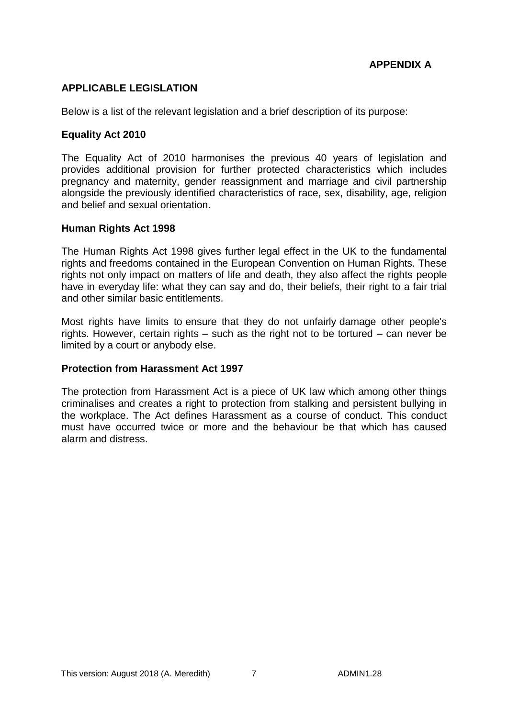## **APPLICABLE LEGISLATION**

Below is a list of the relevant legislation and a brief description of its purpose:

### **Equality Act 2010**

The Equality Act of 2010 harmonises the previous 40 years of legislation and provides additional provision for further protected characteristics which includes pregnancy and maternity, gender reassignment and marriage and civil partnership alongside the previously identified characteristics of race, sex, disability, age, religion and belief and sexual orientation.

#### **Human Rights Act 1998**

The Human Rights Act 1998 gives further legal effect in the UK to the fundamental rights and freedoms contained in the European Convention on Human Rights. These rights not only impact on matters of life and death, they also affect the rights people have in everyday life: what they can say and do, their beliefs, their right to a fair trial and other similar basic entitlements.

Most rights have limits to ensure that they do not unfairly damage other people's rights. However, certain rights – such as the right not to be tortured – can never be limited by a court or anybody else.

#### **Protection from Harassment Act 1997**

The protection from Harassment Act is a piece of UK law which among other things criminalises and creates a right to protection from stalking and persistent bullying in the workplace. The Act defines Harassment as a course of conduct. This conduct must have occurred twice or more and the behaviour be that which has caused alarm and distress.